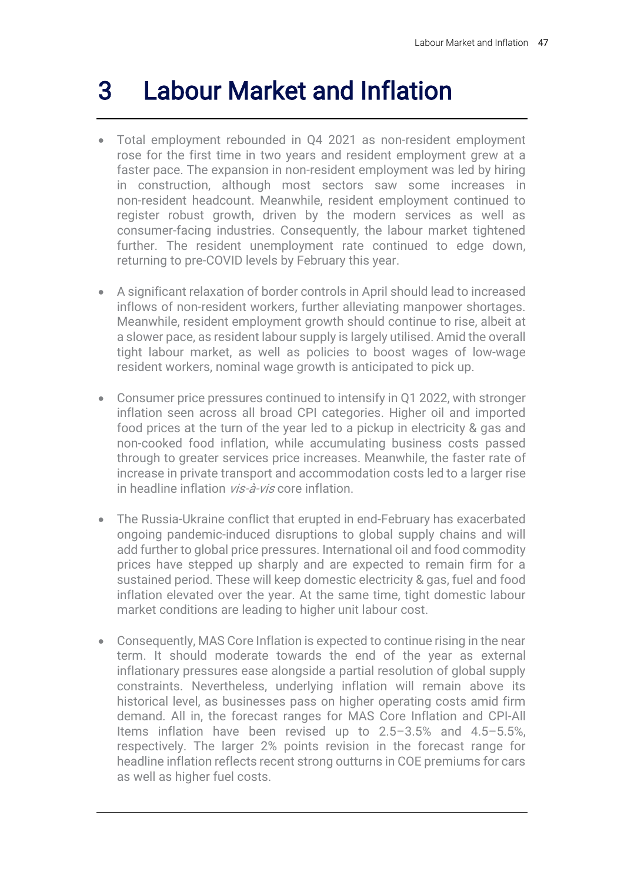# 3 Labour Market and Inflation

- Total employment rebounded in Q4 2021 as non-resident employment rose for the first time in two years and resident employment grew at a faster pace. The expansion in non-resident employment was led by hiring in construction, although most sectors saw some increases in non-resident headcount. Meanwhile, resident employment continued to register robust growth, driven by the modern services as well as consumer-facing industries. Consequently, the labour market tightened further. The resident unemployment rate continued to edge down, returning to pre-COVID levels by February this year.
- A significant relaxation of border controls in April should lead to increased inflows of non-resident workers, further alleviating manpower shortages. Meanwhile, resident employment growth should continue to rise, albeit at a slower pace, as resident labour supply is largely utilised. Amid the overall tight labour market, as well as policies to boost wages of low-wage resident workers, nominal wage growth is anticipated to pick up.
- Consumer price pressures continued to intensify in Q1 2022, with stronger inflation seen across all broad CPI categories. Higher oil and imported food prices at the turn of the year led to a pickup in electricity & gas and non-cooked food inflation, while accumulating business costs passed through to greater services price increases. Meanwhile, the faster rate of increase in private transport and accommodation costs led to a larger rise in headline inflation vis-à-vis core inflation.
- The Russia-Ukraine conflict that erupted in end-February has exacerbated ongoing pandemic-induced disruptions to global supply chains and will add further to global price pressures. International oil and food commodity prices have stepped up sharply and are expected to remain firm for a sustained period. These will keep domestic electricity & gas, fuel and food inflation elevated over the year. At the same time, tight domestic labour market conditions are leading to higher unit labour cost.
- Consequently, MAS Core Inflation is expected to continue rising in the near term. It should moderate towards the end of the year as external inflationary pressures ease alongside a partial resolution of global supply constraints. Nevertheless, underlying inflation will remain above its historical level, as businesses pass on higher operating costs amid firm demand. All in, the forecast ranges for MAS Core Inflation and CPI-All Items inflation have been revised up to 2.5–3.5% and 4.5–5.5%, respectively. The larger 2% points revision in the forecast range for headline inflation reflects recent strong outturns in COE premiums for cars as well as higher fuel costs.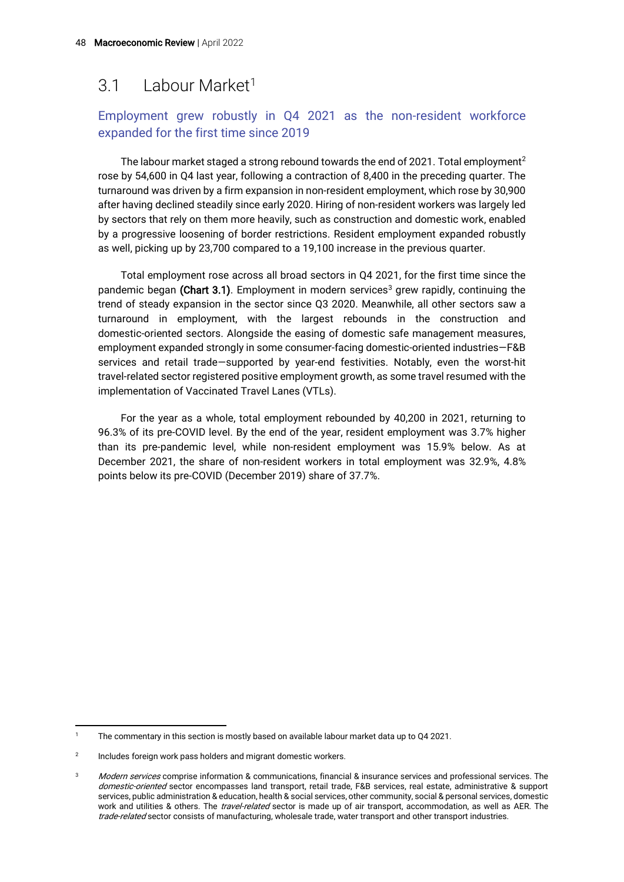## 3.1 Labour Market<sup>1</sup>

## Employment grew robustly in Q4 2021 as the non-resident workforce expanded for the first time since 2019

The labour market staged a strong rebound towards the end of 2021. Total employment<sup>2</sup> rose by 54,600 in Q4 last year, following a contraction of 8,400 in the preceding quarter. The turnaround was driven by a firm expansion in non-resident employment, which rose by 30,900 after having declined steadily since early 2020. Hiring of non-resident workers was largely led by sectors that rely on them more heavily, such as construction and domestic work, enabled by a progressive loosening of border restrictions. Resident employment expanded robustly as well, picking up by 23,700 compared to a 19,100 increase in the previous quarter.

Total employment rose across all broad sectors in Q4 2021, for the first time since the pandemic began (Chart 3.1). Employment in modern services<sup>3</sup> grew rapidly, continuing the trend of steady expansion in the sector since Q3 2020. Meanwhile, all other sectors saw a turnaround in employment, with the largest rebounds in the construction and domestic-oriented sectors. Alongside the easing of domestic safe management measures, employment expanded strongly in some consumer-facing domestic-oriented industries—F&B services and retail trade—supported by year-end festivities. Notably, even the worst-hit travel-related sector registered positive employment growth, as some travel resumed with the implementation of Vaccinated Travel Lanes (VTLs).

For the year as a whole, total employment rebounded by 40,200 in 2021, returning to 96.3% of its pre-COVID level. By the end of the year, resident employment was 3.7% higher than its pre-pandemic level, while non-resident employment was 15.9% below. As at December 2021, the share of non-resident workers in total employment was 32.9%, 4.8% points below its pre-COVID (December 2019) share of 37.7%.

The commentary in this section is mostly based on available labour market data up to Q4 2021.

 $\overline{2}$ Includes foreign work pass holders and migrant domestic workers.

<sup>&</sup>lt;sup>3</sup> Modern services comprise information & communications, financial & insurance services and professional services. The domestic-oriented sector encompasses land transport, retail trade, F&B services, real estate, administrative & support services, public administration & education, health & social services, other community, social & personal services, domestic work and utilities & others. The travel-related sector is made up of air transport, accommodation, as well as AER. The trade-related sector consists of manufacturing, wholesale trade, water transport and other transport industries.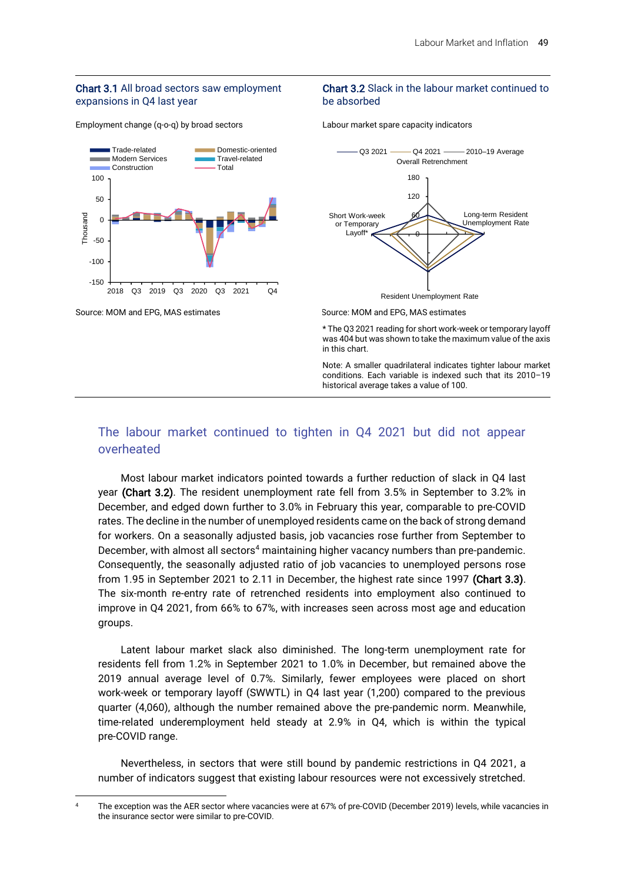#### Chart 3.1 All broad sectors saw employment expansions in Q4 last year

Employment change (q-o-q) by broad sectors



#### Chart 3.2 Slack in the labour market continued to be absorbed

Labour market spare capacity indicators



Source: MOM and EPG, MAS estimates Source: MOM and EPG, MAS estimates

\* The Q3 2021 reading for short work-week or temporary layoff was 404 but was shown to take the maximum value of the axis in this chart.

Note: A smaller quadrilateral indicates tighter labour market conditions. Each variable is indexed such that its 2010–19 historical average takes a value of 100.

## The labour market continued to tighten in Q4 2021 but did not appear overheated

Most labour market indicators pointed towards a further reduction of slack in Q4 last year (Chart 3.2). The resident unemployment rate fell from 3.5% in September to 3.2% in December, and edged down further to 3.0% in February this year, comparable to pre-COVID rates. The decline in the number of unemployed residents came on the back of strong demand for workers. On a seasonally adjusted basis, job vacancies rose further from September to December, with almost all sectors<sup>4</sup> maintaining higher vacancy numbers than pre-pandemic. Consequently, the seasonally adjusted ratio of job vacancies to unemployed persons rose from 1.95 in September 2021 to 2.11 in December, the highest rate since 1997 (Chart 3.3). The six-month re-entry rate of retrenched residents into employment also continued to improve in Q4 2021, from 66% to 67%, with increases seen across most age and education groups.

Latent labour market slack also diminished. The long-term unemployment rate for residents fell from 1.2% in September 2021 to 1.0% in December, but remained above the 2019 annual average level of 0.7%. Similarly, fewer employees were placed on short work-week or temporary layoff (SWWTL) in Q4 last year (1,200) compared to the previous quarter (4,060), although the number remained above the pre-pandemic norm. Meanwhile, time-related underemployment held steady at 2.9% in Q4, which is within the typical pre-COVID range.

Nevertheless, in sectors that were still bound by pandemic restrictions in Q4 2021, a number of indicators suggest that existing labour resources were not excessively stretched.

<sup>&</sup>lt;sup>4</sup> The exception was the AER sector where vacancies were at 67% of pre-COVID (December 2019) levels, while vacancies in the insurance sector were similar to pre-COVID.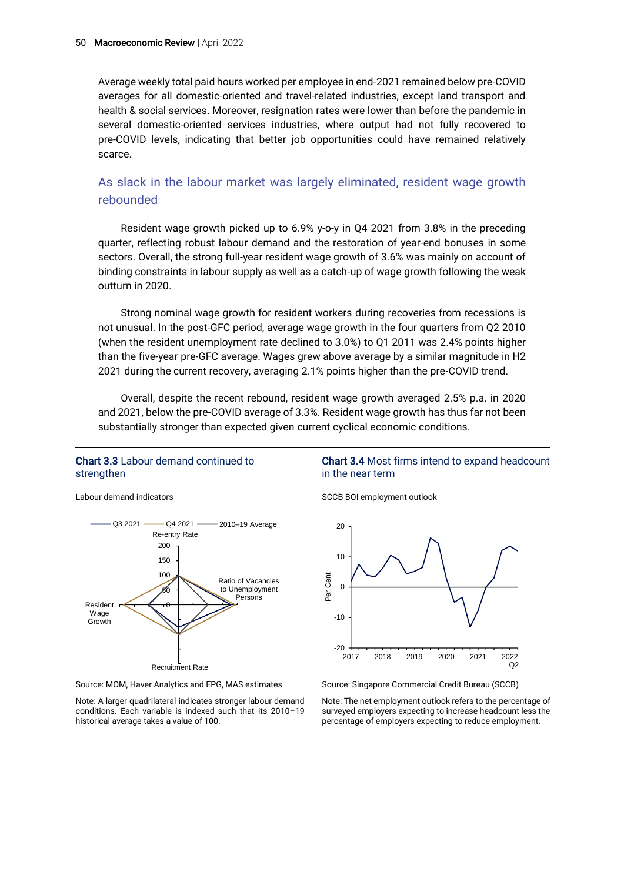Average weekly total paid hours worked per employee in end-2021 remained below pre-COVID averages for all domestic-oriented and travel-related industries, except land transport and health & social services. Moreover, resignation rates were lower than before the pandemic in several domestic-oriented services industries, where output had not fully recovered to pre-COVID levels, indicating that better job opportunities could have remained relatively scarce.

## As slack in the labour market was largely eliminated, resident wage growth rebounded

Resident wage growth picked up to 6.9% y-o-y in Q4 2021 from 3.8% in the preceding quarter, reflecting robust labour demand and the restoration of year-end bonuses in some sectors. Overall, the strong full-year resident wage growth of 3.6% was mainly on account of binding constraints in labour supply as well as a catch-up of wage growth following the weak outturn in 2020.

Strong nominal wage growth for resident workers during recoveries from recessions is not unusual. In the post-GFC period, average wage growth in the four quarters from Q2 2010 (when the resident unemployment rate declined to 3.0%) to Q1 2011 was 2.4% points higher than the five-year pre-GFC average. Wages grew above average by a similar magnitude in H2 2021 during the current recovery, averaging 2.1% points higher than the pre-COVID trend.

Overall, despite the recent rebound, resident wage growth averaged 2.5% p.a. in 2020 and 2021, below the pre-COVID average of 3.3%. Resident wage growth has thus far not been substantially stronger than expected given current cyclical economic conditions.

#### Chart 3.3 Labour demand continued to strengthen

Labour demand indicators



Source: MOM, Haver Analytics and EPG, MAS estimates

Note: A larger quadrilateral indicates stronger labour demand conditions. Each variable is indexed such that its 2010–19 historical average takes a value of 100.

#### Chart 3.4 Most firms intend to expand headcount in the near term

SCCB BOI employment outlook



Source: Singapore Commercial Credit Bureau (SCCB)

Note: The net employment outlook refers to the percentage of surveyed employers expecting to increase headcount less the percentage of employers expecting to reduce employment.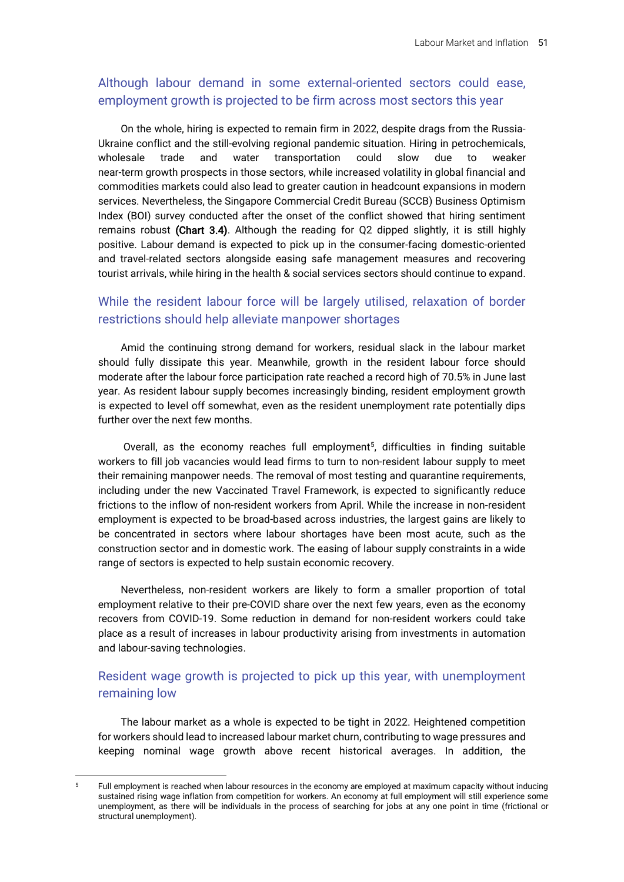## Although labour demand in some external-oriented sectors could ease, employment growth is projected to be firm across most sectors this year

On the whole, hiring is expected to remain firm in 2022, despite drags from the Russia-Ukraine conflict and the still-evolving regional pandemic situation. Hiring in petrochemicals, wholesale trade and water transportation could slow due to weaker near-term growth prospects in those sectors, while increased volatility in global financial and commodities markets could also lead to greater caution in headcount expansions in modern services. Nevertheless, the Singapore Commercial Credit Bureau (SCCB) Business Optimism Index (BOI) survey conducted after the onset of the conflict showed that hiring sentiment remains robust (Chart 3.4). Although the reading for Q2 dipped slightly, it is still highly positive. Labour demand is expected to pick up in the consumer-facing domestic-oriented and travel-related sectors alongside easing safe management measures and recovering tourist arrivals, while hiring in the health & social services sectors should continue to expand.

## While the resident labour force will be largely utilised, relaxation of border restrictions should help alleviate manpower shortages

Amid the continuing strong demand for workers, residual slack in the labour market should fully dissipate this year. Meanwhile, growth in the resident labour force should moderate after the labour force participation rate reached a record high of 70.5% in June last year. As resident labour supply becomes increasingly binding, resident employment growth is expected to level off somewhat, even as the resident unemployment rate potentially dips further over the next few months.

Overall, as the economy reaches full employment<sup>5</sup>, difficulties in finding suitable workers to fill job vacancies would lead firms to turn to non-resident labour supply to meet their remaining manpower needs. The removal of most testing and quarantine requirements, including under the new Vaccinated Travel Framework, is expected to significantly reduce frictions to the inflow of non-resident workers from April. While the increase in non-resident employment is expected to be broad-based across industries, the largest gains are likely to be concentrated in sectors where labour shortages have been most acute, such as the construction sector and in domestic work. The easing of labour supply constraints in a wide range of sectors is expected to help sustain economic recovery.

Nevertheless, non-resident workers are likely to form a smaller proportion of total employment relative to their pre-COVID share over the next few years, even as the economy recovers from COVID-19. Some reduction in demand for non-resident workers could take place as a result of increases in labour productivity arising from investments in automation and labour-saving technologies.

## Resident wage growth is projected to pick up this year, with unemployment remaining low

The labour market as a whole is expected to be tight in 2022. Heightened competition for workers should lead to increased labour market churn, contributing to wage pressures and keeping nominal wage growth above recent historical averages. In addition, the

<sup>5</sup> Full employment is reached when labour resources in the economy are employed at maximum capacity without inducing sustained rising wage inflation from competition for workers. An economy at full employment will still experience some unemployment, as there will be individuals in the process of searching for jobs at any one point in time (frictional or structural unemployment).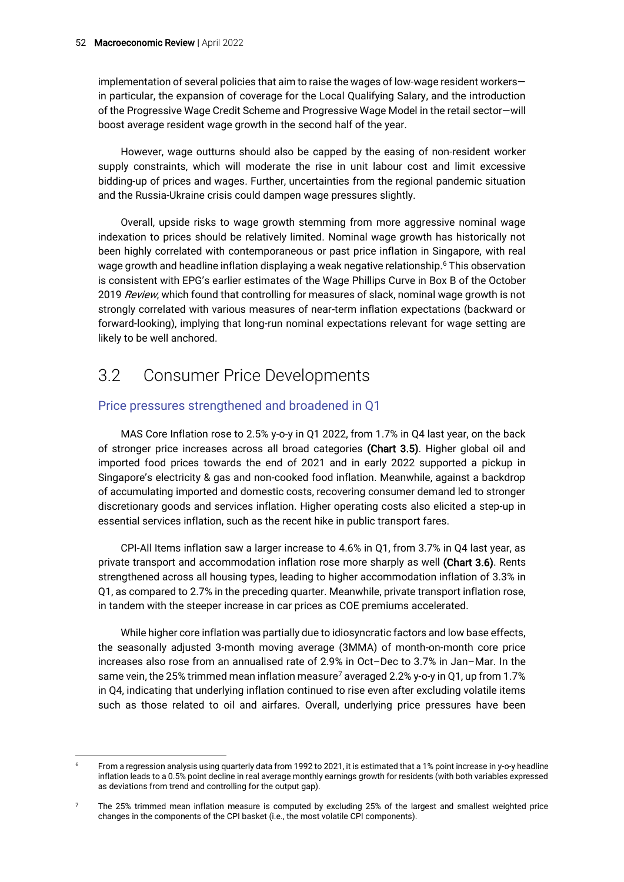implementation of several policies that aim to raise the wages of low-wage resident workers in particular, the expansion of coverage for the Local Qualifying Salary, and the introduction of the Progressive Wage Credit Scheme and Progressive Wage Model in the retail sector—will boost average resident wage growth in the second half of the year.

However, wage outturns should also be capped by the easing of non-resident worker supply constraints, which will moderate the rise in unit labour cost and limit excessive bidding-up of prices and wages. Further, uncertainties from the regional pandemic situation and the Russia-Ukraine crisis could dampen wage pressures slightly.

Overall, upside risks to wage growth stemming from more aggressive nominal wage indexation to prices should be relatively limited. Nominal wage growth has historically not been highly correlated with contemporaneous or past price inflation in Singapore, with real wage growth and headline inflation displaying a weak negative relationship. <sup>6</sup> This observation is consistent with EPG's earlier estimates of the Wage Phillips Curve in Box B of the October 2019 Review, which found that controlling for measures of slack, nominal wage growth is not strongly correlated with various measures of near-term inflation expectations (backward or forward-looking), implying that long-run nominal expectations relevant for wage setting are likely to be well anchored.

# 3.2 Consumer Price Developments

## Price pressures strengthened and broadened in Q1

MAS Core Inflation rose to 2.5% y-o-y in Q1 2022, from 1.7% in Q4 last year, on the back of stronger price increases across all broad categories (Chart 3.5). Higher global oil and imported food prices towards the end of 2021 and in early 2022 supported a pickup in Singapore's electricity & gas and non-cooked food inflation. Meanwhile, against a backdrop of accumulating imported and domestic costs, recovering consumer demand led to stronger discretionary goods and services inflation. Higher operating costs also elicited a step-up in essential services inflation, such as the recent hike in public transport fares.

CPI-All Items inflation saw a larger increase to 4.6% in Q1, from 3.7% in Q4 last year, as private transport and accommodation inflation rose more sharply as well (Chart 3.6). Rents strengthened across all housing types, leading to higher accommodation inflation of 3.3% in Q1, as compared to 2.7% in the preceding quarter. Meanwhile, private transport inflation rose, in tandem with the steeper increase in car prices as COE premiums accelerated.

While higher core inflation was partially due to idiosyncratic factors and low base effects, the seasonally adjusted 3-month moving average (3MMA) of month-on-month core price increases also rose from an annualised rate of 2.9% in Oct–Dec to 3.7% in Jan–Mar. In the same vein, the 25% trimmed mean inflation measure<sup>7</sup> averaged 2.2% y-o-y in Q1, up from 1.7% in Q4, indicating that underlying inflation continued to rise even after excluding volatile items such as those related to oil and airfares. Overall, underlying price pressures have been

From a regression analysis using quarterly data from 1992 to 2021, it is estimated that a 1% point increase in y-o-y headline inflation leads to a 0.5% point decline in real average monthly earnings growth for residents (with both variables expressed as deviations from trend and controlling for the output gap).

The 25% trimmed mean inflation measure is computed by excluding 25% of the largest and smallest weighted price changes in the components of the CPI basket (i.e., the most volatile CPI components).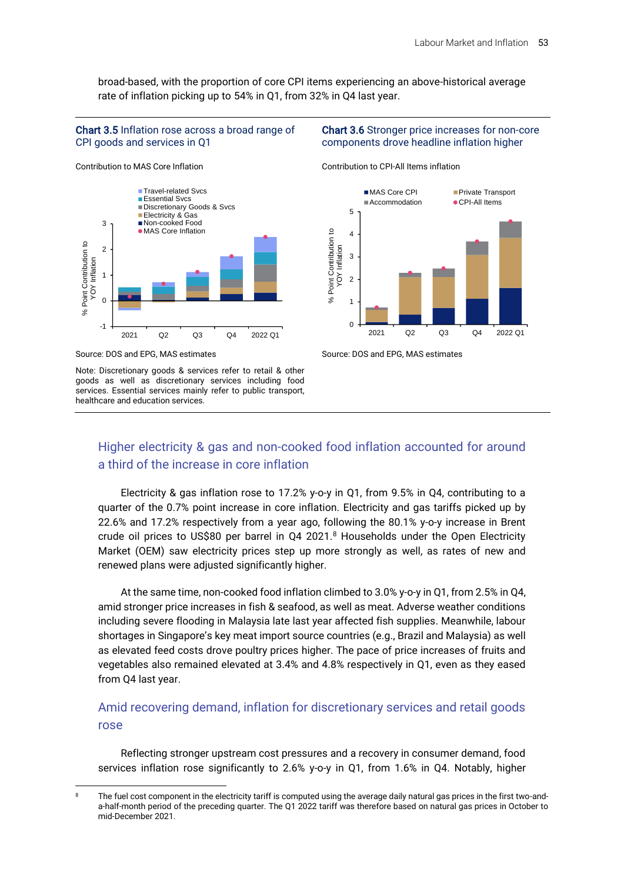broad-based, with the proportion of core CPI items experiencing an above-historical average rate of inflation picking up to 54% in Q1, from 32% in Q4 last year.

#### Chart 3.5 Inflation rose across a broad range of CPI goods and services in Q1



Source: DOS and EPG, MAS estimates

Contribution to MAS Core Inflation

Note: Discretionary goods & services refer to retail & other goods as well as discretionary services including food services. Essential services mainly refer to public transport, healthcare and education services.

#### Chart 3.6 Stronger price increases for non-core components drove headline inflation higher

Contribution to CPI-All Items inflation



Source: DOS and EPG, MAS estimates

## Higher electricity & gas and non-cooked food inflation accounted for around a third of the increase in core inflation

Electricity & gas inflation rose to 17.2% y-o-y in Q1, from 9.5% in Q4, contributing to a quarter of the 0.7% point increase in core inflation. Electricity and gas tariffs picked up by 22.6% and 17.2% respectively from a year ago, following the 80.1% y-o-y increase in Brent crude oil prices to US\$80 per barrel in Q4 2021.8 Households under the Open Electricity Market (OEM) saw electricity prices step up more strongly as well, as rates of new and renewed plans were adjusted significantly higher.

At the same time, non-cooked food inflation climbed to 3.0% y-o-y in Q1, from 2.5% in Q4, amid stronger price increases in fish & seafood, as well as meat. Adverse weather conditions including severe flooding in Malaysia late last year affected fish supplies. Meanwhile, labour shortages in Singapore's key meat import source countries (e.g., Brazil and Malaysia) as well as elevated feed costs drove poultry prices higher. The pace of price increases of fruits and vegetables also remained elevated at 3.4% and 4.8% respectively in Q1, even as they eased from Q4 last year.

## Amid recovering demand, inflation for discretionary services and retail goods rose

Reflecting stronger upstream cost pressures and a recovery in consumer demand, food services inflation rose significantly to 2.6% y-o-y in Q1, from 1.6% in Q4. Notably, higher

<sup>&</sup>lt;sup>8</sup> The fuel cost component in the electricity tariff is computed using the average daily natural gas prices in the first two-anda-half-month period of the preceding quarter. The Q1 2022 tariff was therefore based on natural gas prices in October to mid-December 2021.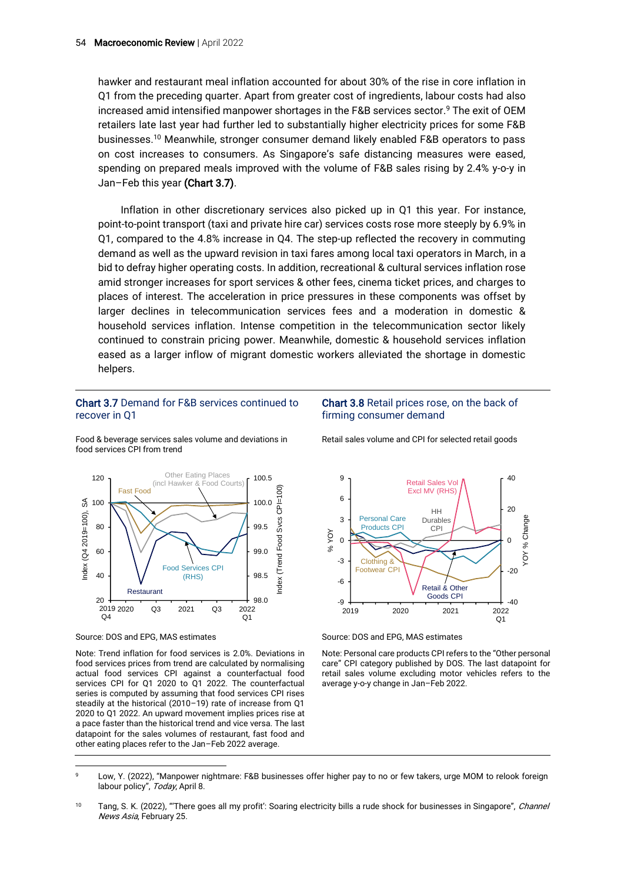hawker and restaurant meal inflation accounted for about 30% of the rise in core inflation in Q1 from the preceding quarter. Apart from greater cost of ingredients, labour costs had also increased amid intensified manpower shortages in the F&B services sector. <sup>9</sup> The exit of OEM retailers late last year had further led to substantially higher electricity prices for some F&B businesses.<sup>10</sup> Meanwhile, stronger consumer demand likely enabled F&B operators to pass on cost increases to consumers. As Singapore's safe distancing measures were eased, spending on prepared meals improved with the volume of F&B sales rising by 2.4% y-o-y in Jan–Feb this year (Chart 3.7).

Inflation in other discretionary services also picked up in Q1 this year. For instance, point-to-point transport (taxi and private hire car) services costs rose more steeply by 6.9% in Q1, compared to the 4.8% increase in Q4. The step-up reflected the recovery in commuting demand as well as the upward revision in taxi fares among local taxi operators in March, in a bid to defray higher operating costs. In addition, recreational & cultural services inflation rose amid stronger increases for sport services & other fees, cinema ticket prices, and charges to places of interest. The acceleration in price pressures in these components was offset by larger declines in telecommunication services fees and a moderation in domestic & household services inflation. Intense competition in the telecommunication sector likely continued to constrain pricing power. Meanwhile, domestic & household services inflation eased as a larger inflow of migrant domestic workers alleviated the shortage in domestic helpers.

#### Chart 3.7 Demand for F&B services continued to recover in Q1

#### Chart 3.8 Retail prices rose, on the back of firming consumer demand

Food & beverage services sales volume and deviations in food services CPI from trend



Source: DOS and EPG, MAS estimates

Note: Trend inflation for food services is 2.0%. Deviations in food services prices from trend are calculated by normalising actual food services CPI against a counterfactual food services CPI for Q1 2020 to Q1 2022. The counterfactual series is computed by assuming that food services CPI rises steadily at the historical (2010–19) rate of increase from Q1 2020 to Q1 2022. An upward movement implies prices rise at a pace faster than the historical trend and vice versa. The last datapoint for the sales volumes of restaurant, fast food and other eating places refer to the Jan–Feb 2022 average.

Retail sales volume and CPI for selected retail goods



Source: DOS and EPG, MAS estimates

Note: Personal care products CPI refers to the "Other personal care" CPI category published by DOS. The last datapoint for retail sales volume excluding motor vehicles refers to the average y-o-y change in Jan–Feb 2022.

10 Tang, S. K. (2022), "There goes all my profit': Soaring electricity bills a rude shock for businesses in Singapore", *Channel* News Asia, February 25.

<sup>9</sup> Low, Y. (2022), "Manpower nightmare: F&B businesses offer higher pay to no or few takers, urge MOM to relook foreign labour policy", Today, April 8.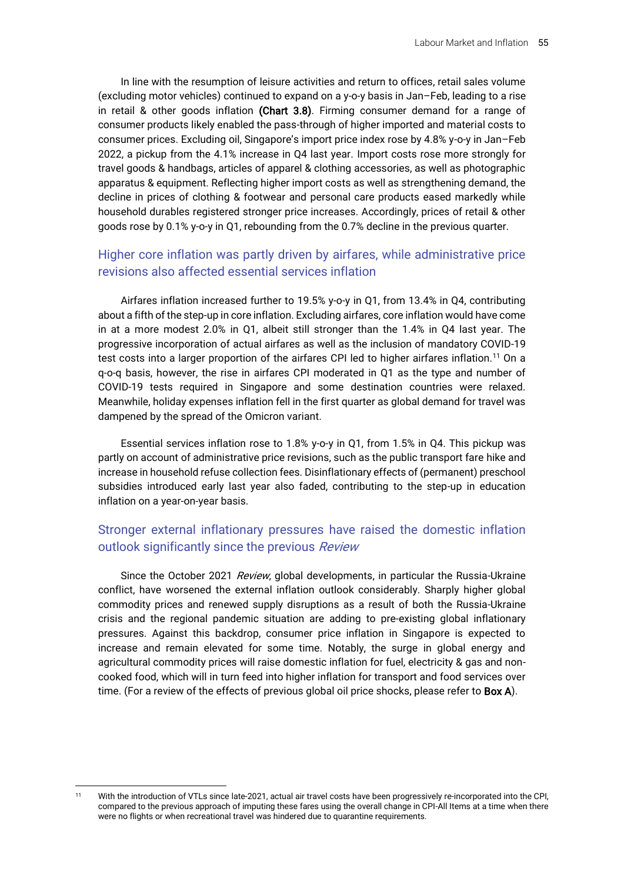In line with the resumption of leisure activities and return to offices, retail sales volume (excluding motor vehicles) continued to expand on a y-o-y basis in Jan–Feb, leading to a rise in retail & other goods inflation (Chart 3.8). Firming consumer demand for a range of consumer products likely enabled the pass-through of higher imported and material costs to consumer prices. Excluding oil, Singapore's import price index rose by 4.8% y-o-y in Jan–Feb 2022, a pickup from the 4.1% increase in Q4 last year. Import costs rose more strongly for travel goods & handbags, articles of apparel & clothing accessories, as well as photographic apparatus & equipment. Reflecting higher import costs as well as strengthening demand, the decline in prices of clothing & footwear and personal care products eased markedly while household durables registered stronger price increases. Accordingly, prices of retail & other goods rose by 0.1% y-o-y in Q1, rebounding from the 0.7% decline in the previous quarter.

## Higher core inflation was partly driven by airfares, while administrative price revisions also affected essential services inflation

Airfares inflation increased further to 19.5% y-o-y in Q1, from 13.4% in Q4, contributing about a fifth of the step-up in core inflation. Excluding airfares, core inflation would have come in at a more modest 2.0% in Q1, albeit still stronger than the 1.4% in Q4 last year. The progressive incorporation of actual airfares as well as the inclusion of mandatory COVID-19 test costs into a larger proportion of the airfares CPI led to higher airfares inflation.<sup>11</sup> On a q-o-q basis, however, the rise in airfares CPI moderated in Q1 as the type and number of COVID-19 tests required in Singapore and some destination countries were relaxed. Meanwhile, holiday expenses inflation fell in the first quarter as global demand for travel was dampened by the spread of the Omicron variant.

Essential services inflation rose to 1.8% y-o-y in Q1, from 1.5% in Q4. This pickup was partly on account of administrative price revisions, such as the public transport fare hike and increase in household refuse collection fees. Disinflationary effects of (permanent) preschool subsidies introduced early last year also faded, contributing to the step-up in education inflation on a year-on-year basis.

## Stronger external inflationary pressures have raised the domestic inflation outlook significantly since the previous Review

Since the October 2021 Review, global developments, in particular the Russia-Ukraine conflict, have worsened the external inflation outlook considerably. Sharply higher global commodity prices and renewed supply disruptions as a result of both the Russia-Ukraine crisis and the regional pandemic situation are adding to pre-existing global inflationary pressures. Against this backdrop, consumer price inflation in Singapore is expected to increase and remain elevated for some time. Notably, the surge in global energy and agricultural commodity prices will raise domestic inflation for fuel, electricity & gas and noncooked food, which will in turn feed into higher inflation for transport and food services over time. (For a review of the effects of previous global oil price shocks, please refer to **Box A**).

<sup>11</sup> With the introduction of VTLs since late-2021, actual air travel costs have been progressively re-incorporated into the CPI, compared to the previous approach of imputing these fares using the overall change in CPI-All Items at a time when there were no flights or when recreational travel was hindered due to quarantine requirements.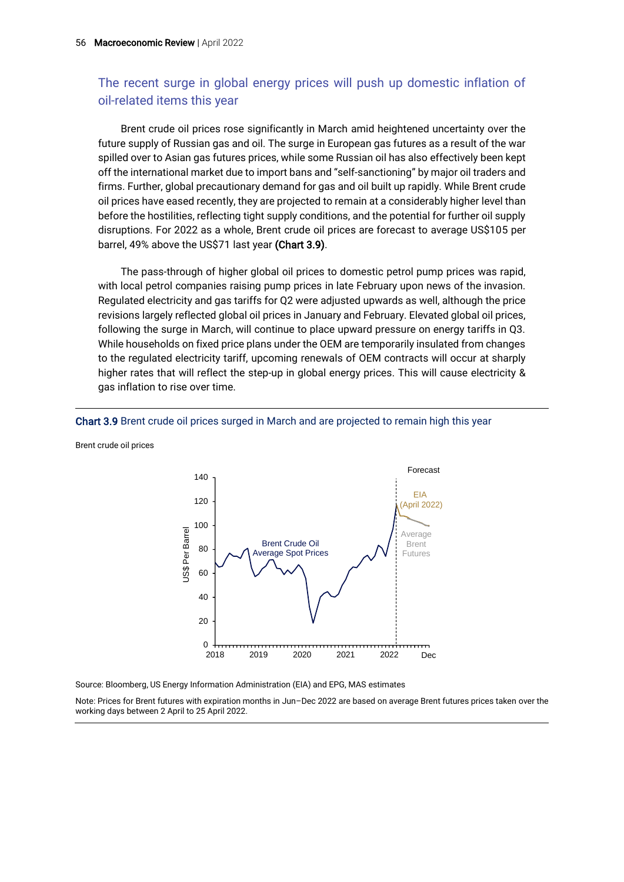## The recent surge in global energy prices will push up domestic inflation of oil-related items this year

Brent crude oil prices rose significantly in March amid heightened uncertainty over the future supply of Russian gas and oil. The surge in European gas futures as a result of the war spilled over to Asian gas futures prices, while some Russian oil has also effectively been kept off the international market due to import bans and "self-sanctioning" by major oil traders and firms. Further, global precautionary demand for gas and oil built up rapidly. While Brent crude oil prices have eased recently, they are projected to remain at a considerably higher level than before the hostilities, reflecting tight supply conditions, and the potential for further oil supply disruptions. For 2022 as a whole, Brent crude oil prices are forecast to average US\$105 per barrel, 49% above the US\$71 last year (Chart 3.9).

The pass-through of higher global oil prices to domestic petrol pump prices was rapid, with local petrol companies raising pump prices in late February upon news of the invasion. Regulated electricity and gas tariffs for Q2 were adjusted upwards as well, although the price revisions largely reflected global oil prices in January and February. Elevated global oil prices, following the surge in March, will continue to place upward pressure on energy tariffs in Q3. While households on fixed price plans under the OEM are temporarily insulated from changes to the regulated electricity tariff, upcoming renewals of OEM contracts will occur at sharply higher rates that will reflect the step-up in global energy prices. This will cause electricity & gas inflation to rise over time.

#### Forecast 140 EIA 120 (April 2022) 100 JS\$ Per Barrel US\$ Per Barrel Average Brent Crude Oil Brent 80 Average Spot Prices Futures60 40 20  $\Omega$ 2018 2019 2020 2021 2022 Dec

Chart 3.9 Brent crude oil prices surged in March and are projected to remain high this year

Brent crude oil prices

Source: Bloomberg, US Energy Information Administration (EIA) and EPG, MAS estimates

Note: Prices for Brent futures with expiration months in Jun–Dec 2022 are based on average Brent futures prices taken over the working days between 2 April to 25 April 2022.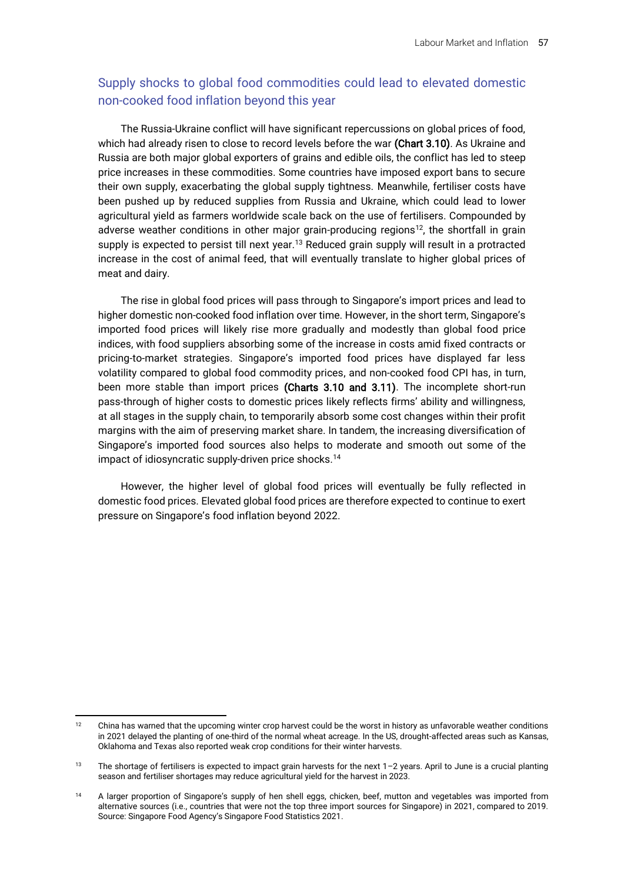## Supply shocks to global food commodities could lead to elevated domestic non-cooked food inflation beyond this year

The Russia-Ukraine conflict will have significant repercussions on global prices of food, which had already risen to close to record levels before the war (Chart 3.10). As Ukraine and Russia are both major global exporters of grains and edible oils, the conflict has led to steep price increases in these commodities. Some countries have imposed export bans to secure their own supply, exacerbating the global supply tightness. Meanwhile, fertiliser costs have been pushed up by reduced supplies from Russia and Ukraine, which could lead to lower agricultural yield as farmers worldwide scale back on the use of fertilisers. Compounded by adverse weather conditions in other major grain-producing regions<sup>12</sup>, the shortfall in grain supply is expected to persist till next year.<sup>13</sup> Reduced grain supply will result in a protracted increase in the cost of animal feed, that will eventually translate to higher global prices of meat and dairy.

The rise in global food prices will pass through to Singapore's import prices and lead to higher domestic non-cooked food inflation over time. However, in the short term, Singapore's imported food prices will likely rise more gradually and modestly than global food price indices, with food suppliers absorbing some of the increase in costs amid fixed contracts or pricing-to-market strategies. Singapore's imported food prices have displayed far less volatility compared to global food commodity prices, and non-cooked food CPI has, in turn, been more stable than import prices (Charts 3.10 and 3.11). The incomplete short-run pass-through of higher costs to domestic prices likely reflects firms' ability and willingness, at all stages in the supply chain, to temporarily absorb some cost changes within their profit margins with the aim of preserving market share. In tandem, the increasing diversification of Singapore's imported food sources also helps to moderate and smooth out some of the impact of idiosyncratic supply-driven price shocks.<sup>14</sup>

However, the higher level of global food prices will eventually be fully reflected in domestic food prices. Elevated global food prices are therefore expected to continue to exert pressure on Singapore's food inflation beyond 2022.

<sup>&</sup>lt;sup>12</sup> China has warned that the upcoming winter crop harvest could be the worst in history as unfavorable weather conditions in 2021 delayed the planting of one-third of the normal wheat acreage. In the US, drought-affected areas such as Kansas, Oklahoma and Texas also reported weak crop conditions for their winter harvests.

<sup>13</sup> The shortage of fertilisers is expected to impact grain harvests for the next 1-2 years. April to June is a crucial planting season and fertiliser shortages may reduce agricultural yield for the harvest in 2023.

<sup>&</sup>lt;sup>14</sup> A larger proportion of Singapore's supply of hen shell eggs, chicken, beef, mutton and vegetables was imported from alternative sources (i.e., countries that were not the top three import sources for Singapore) in 2021, compared to 2019. Source: Singapore Food Agency's Singapore Food Statistics 2021.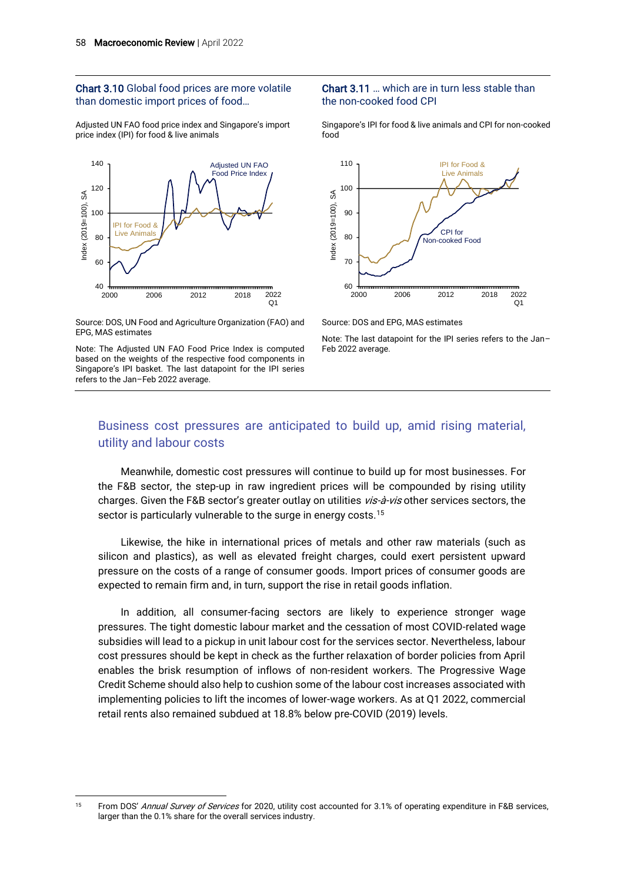#### Chart 3.10 Global food prices are more volatile than domestic import prices of food…

Adjusted UN FAO food price index and Singapore's import price index (IPI) for food & live animals



#### Source: DOS, UN Food and Agriculture Organization (FAO) and EPG, MAS estimates

Note: The Adjusted UN FAO Food Price Index is computed based on the weights of the respective food components in Singapore's IPI basket. The last datapoint for the IPI series refers to the Jan–Feb 2022 average.

#### Chart 3.11 … which are in turn less stable than the non-cooked food CPI

Singapore's IPI for food & live animals and CPI for non-cooked food





Note: The last datapoint for the IPI series refers to the Jan– Feb 2022 average.

## Business cost pressures are anticipated to build up, amid rising material, utility and labour costs

Meanwhile, domestic cost pressures will continue to build up for most businesses. For the F&B sector, the step-up in raw ingredient prices will be compounded by rising utility charges. Given the F&B sector's greater outlay on utilities vis-à-vis other services sectors, the sector is particularly vulnerable to the surge in energy costs.<sup>15</sup>

Likewise, the hike in international prices of metals and other raw materials (such as silicon and plastics), as well as elevated freight charges, could exert persistent upward pressure on the costs of a range of consumer goods. Import prices of consumer goods are expected to remain firm and, in turn, support the rise in retail goods inflation.

In addition, all consumer-facing sectors are likely to experience stronger wage pressures. The tight domestic labour market and the cessation of most COVID-related wage subsidies will lead to a pickup in unit labour cost for the services sector. Nevertheless, labour cost pressures should be kept in check as the further relaxation of border policies from April enables the brisk resumption of inflows of non-resident workers. The Progressive Wage Credit Scheme should also help to cushion some of the labour cost increases associated with implementing policies to lift the incomes of lower-wage workers. As at Q1 2022, commercial retail rents also remained subdued at 18.8% below pre-COVID (2019) levels.

<sup>&</sup>lt;sup>15</sup> From DOS' Annual Survey of Services for 2020, utility cost accounted for 3.1% of operating expenditure in F&B services, larger than the 0.1% share for the overall services industry.